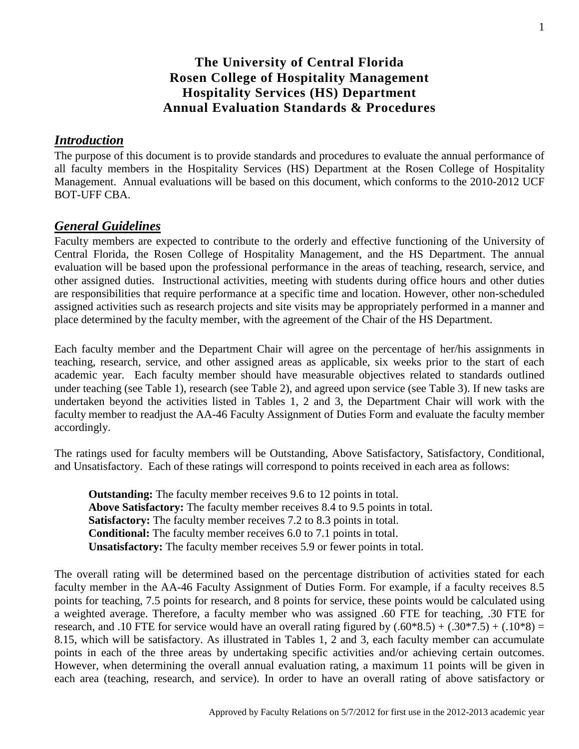# **The University of Central Florida Rosen College of Hospitality Management Hospitality Services (HS) Department Annual Evaluation Standards & Procedures**

### *Introduction*

The purpose of this document is to provide standards and procedures to evaluate the annual performance of all faculty members in the Hospitality Services (HS) Department at the Rosen College of Hospitality Management. Annual evaluations will be based on this document, which conforms to the 2010-2012 UCF BOT-UFF CBA.

### *General Guidelines*

Faculty members are expected to contribute to the orderly and effective functioning of the University of Central Florida, the Rosen College of Hospitality Management, and the HS Department. The annual evaluation will be based upon the professional performance in the areas of teaching, research, service, and other assigned duties. Instructional activities, meeting with students during office hours and other duties are responsibilities that require performance at a specific time and location. However, other non-scheduled assigned activities such as research projects and site visits may be appropriately performed in a manner and place determined by the faculty member, with the agreement of the Chair of the HS Department.

Each faculty member and the Department Chair will agree on the percentage of her/his assignments in teaching, research, service, and other assigned areas as applicable, six weeks prior to the start of each academic year. Each faculty member should have measurable objectives related to standards outlined under teaching (see Table 1), research (see Table 2), and agreed upon service (see Table 3). If new tasks are undertaken beyond the activities listed in Tables 1, 2 and 3, the Department Chair will work with the faculty member to readjust the AA-46 Faculty Assignment of Duties Form and evaluate the faculty member accordingly.

The ratings used for faculty members will be Outstanding, Above Satisfactory, Satisfactory, Conditional, and Unsatisfactory. Each of these ratings will correspond to points received in each area as follows:

**Outstanding:** The faculty member receives 9.6 to 12 points in total. **Above Satisfactory:** The faculty member receives 8.4 to 9.5 points in total. **Satisfactory:** The faculty member receives 7.2 to 8.3 points in total. **Conditional:** The faculty member receives 6.0 to 7.1 points in total. **Unsatisfactory:** The faculty member receives 5.9 or fewer points in total.

The overall rating will be determined based on the percentage distribution of activities stated for each faculty member in the AA-46 Faculty Assignment of Duties Form. For example, if a faculty receives 8.5 points for teaching, 7.5 points for research, and 8 points for service, these points would be calculated using a weighted average. Therefore, a faculty member who was assigned .60 FTE for teaching, .30 FTE for research, and .10 FTE for service would have an overall rating figured by  $(.60*8.5) + (.30*7.5) + (.10*8) =$ 8.15, which will be satisfactory. As illustrated in Tables 1, 2 and 3, each faculty member can accumulate points in each of the three areas by undertaking specific activities and/or achieving certain outcomes. However, when determining the overall annual evaluation rating, a maximum 11 points will be given in each area (teaching, research, and service). In order to have an overall rating of above satisfactory or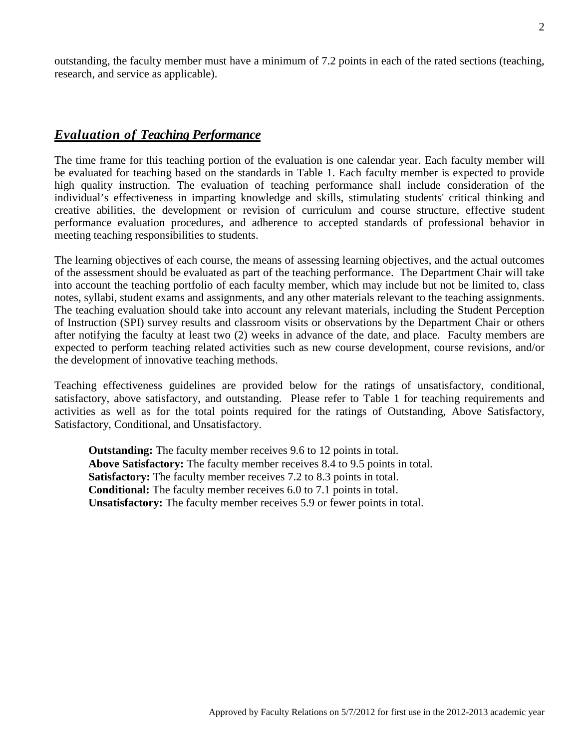outstanding, the faculty member must have a minimum of 7.2 points in each of the rated sections (teaching, research, and service as applicable).

# *Evaluation of Teaching Performance*

The time frame for this teaching portion of the evaluation is one calendar year. Each faculty member will be evaluated for teaching based on the standards in Table 1. Each faculty member is expected to provide high quality instruction. The evaluation of teaching performance shall include consideration of the individual's effectiveness in imparting knowledge and skills, stimulating students' critical thinking and creative abilities, the development or revision of curriculum and course structure, effective student performance evaluation procedures, and adherence to accepted standards of professional behavior in meeting teaching responsibilities to students.

The learning objectives of each course, the means of assessing learning objectives, and the actual outcomes of the assessment should be evaluated as part of the teaching performance. The Department Chair will take into account the teaching portfolio of each faculty member, which may include but not be limited to, class notes, syllabi, student exams and assignments, and any other materials relevant to the teaching assignments. The teaching evaluation should take into account any relevant materials, including the Student Perception of Instruction (SPI) survey results and classroom visits or observations by the Department Chair or others after notifying the faculty at least two (2) weeks in advance of the date, and place. Faculty members are expected to perform teaching related activities such as new course development, course revisions, and/or the development of innovative teaching methods.

Teaching effectiveness guidelines are provided below for the ratings of unsatisfactory, conditional, satisfactory, above satisfactory, and outstanding. Please refer to Table 1 for teaching requirements and activities as well as for the total points required for the ratings of Outstanding, Above Satisfactory, Satisfactory, Conditional, and Unsatisfactory.

**Outstanding:** The faculty member receives 9.6 to 12 points in total. **Above Satisfactory:** The faculty member receives 8.4 to 9.5 points in total. **Satisfactory:** The faculty member receives 7.2 to 8.3 points in total. **Conditional:** The faculty member receives 6.0 to 7.1 points in total. **Unsatisfactory:** The faculty member receives 5.9 or fewer points in total.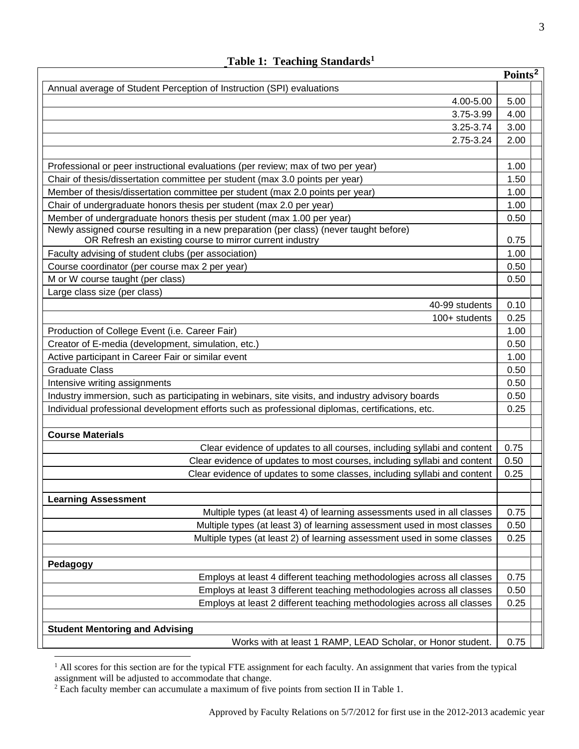|                                                                                                  | Points <sup>2</sup> |
|--------------------------------------------------------------------------------------------------|---------------------|
| Annual average of Student Perception of Instruction (SPI) evaluations                            |                     |
| 4.00-5.00                                                                                        | 5.00                |
| 3.75-3.99                                                                                        | 4.00                |
| 3.25-3.74                                                                                        | 3.00                |
| 2.75-3.24                                                                                        | 2.00                |
|                                                                                                  |                     |
| Professional or peer instructional evaluations (per review; max of two per year)                 | 1.00                |
| Chair of thesis/dissertation committee per student (max 3.0 points per year)                     | 1.50                |
| Member of thesis/dissertation committee per student (max 2.0 points per year)                    | 1.00                |
| Chair of undergraduate honors thesis per student (max 2.0 per year)                              | 1.00                |
| Member of undergraduate honors thesis per student (max 1.00 per year)                            | 0.50                |
| Newly assigned course resulting in a new preparation (per class) (never taught before)           |                     |
| OR Refresh an existing course to mirror current industry                                         | 0.75                |
| Faculty advising of student clubs (per association)                                              | 1.00                |
| Course coordinator (per course max 2 per year)                                                   | 0.50                |
| M or W course taught (per class)                                                                 | 0.50                |
| Large class size (per class)                                                                     |                     |
| 40-99 students                                                                                   | 0.10                |
| 100+ students                                                                                    | 0.25                |
| Production of College Event (i.e. Career Fair)                                                   | 1.00                |
| Creator of E-media (development, simulation, etc.)                                               |                     |
| Active participant in Career Fair or similar event                                               | 1.00                |
| <b>Graduate Class</b>                                                                            | 0.50                |
| Intensive writing assignments                                                                    | 0.50                |
| Industry immersion, such as participating in webinars, site visits, and industry advisory boards | 0.50                |
| Individual professional development efforts such as professional diplomas, certifications, etc.  | 0.25                |
|                                                                                                  |                     |
| <b>Course Materials</b>                                                                          |                     |
| Clear evidence of updates to all courses, including syllabi and content                          | 0.75                |
| Clear evidence of updates to most courses, including syllabi and content                         | 0.50                |
| Clear evidence of updates to some classes, including syllabi and content                         | 0.25                |
|                                                                                                  |                     |
| <b>Learning Assessment</b>                                                                       |                     |
| Multiple types (at least 4) of learning assessments used in all classes                          | 0.75                |
| Multiple types (at least 3) of learning assessment used in most classes                          | 0.50                |
| Multiple types (at least 2) of learning assessment used in some classes                          | 0.25                |
|                                                                                                  |                     |
| Pedagogy                                                                                         |                     |
| Employs at least 4 different teaching methodologies across all classes                           | 0.75                |
| Employs at least 3 different teaching methodologies across all classes                           | 0.50                |
| Employs at least 2 different teaching methodologies across all classes                           | 0.25                |
|                                                                                                  |                     |
| <b>Student Mentoring and Advising</b>                                                            |                     |
| Works with at least 1 RAMP, LEAD Scholar, or Honor student.                                      | 0.75                |

**Table 1: Teaching Standards[1](#page-2-0)**

<span id="page-2-0"></span><sup>&</sup>lt;sup>1</sup> All scores for this section are for the typical FTE assignment for each faculty. An assignment that varies from the typical assignment will be adjusted to accommodate that change.

<span id="page-2-1"></span><sup>&</sup>lt;sup>2</sup> Each faculty member can accumulate a maximum of five points from section II in Table 1.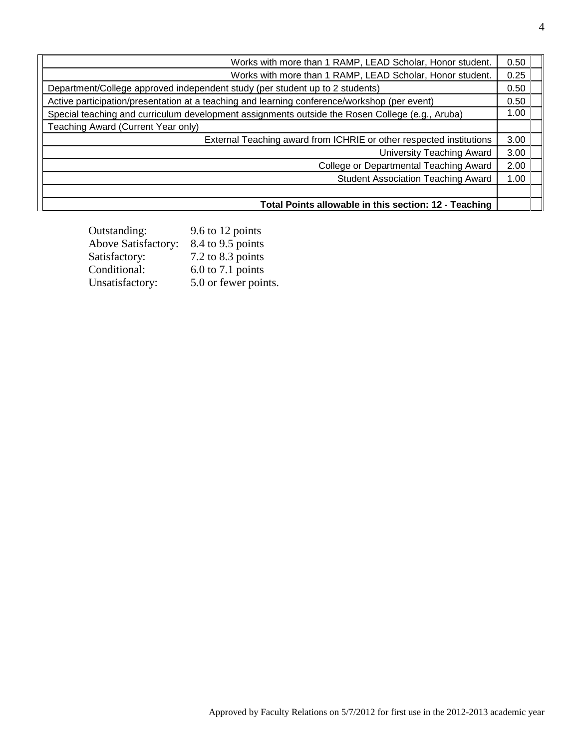| Works with more than 1 RAMP, LEAD Scholar, Honor student.                                       | 0.50 |
|-------------------------------------------------------------------------------------------------|------|
| Works with more than 1 RAMP, LEAD Scholar, Honor student.                                       | 0.25 |
| Department/College approved independent study (per student up to 2 students)                    | 0.50 |
| Active participation/presentation at a teaching and learning conference/workshop (per event)    |      |
| Special teaching and curriculum development assignments outside the Rosen College (e.g., Aruba) |      |
| Teaching Award (Current Year only)                                                              |      |
| External Teaching award from ICHRIE or other respected institutions                             | 3.00 |
| <b>University Teaching Award</b>                                                                | 3.00 |
| <b>College or Departmental Teaching Award</b>                                                   | 2.00 |
| <b>Student Association Teaching Award</b>                                                       | 1.00 |
|                                                                                                 |      |
| Total Points allowable in this section: 12 - Teaching                                           |      |

| Outstanding:               | 9.6 to 12 points     |
|----------------------------|----------------------|
| <b>Above Satisfactory:</b> | 8.4 to 9.5 points    |
| Satisfactory:              | 7.2 to 8.3 points    |
| Conditional:               | $6.0$ to 7.1 points  |
| Unsatisfactory:            | 5.0 or fewer points. |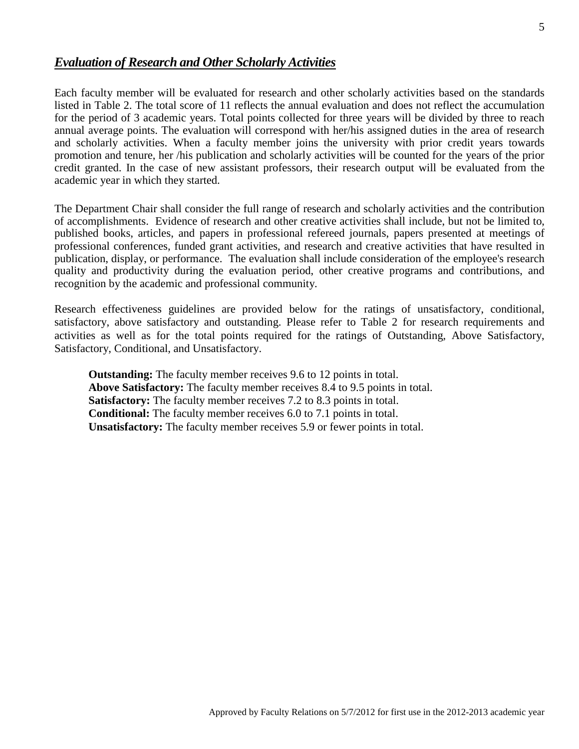# *Evaluation of Research and Other Scholarly Activities*

Each faculty member will be evaluated for research and other scholarly activities based on the standards listed in Table 2. The total score of 11 reflects the annual evaluation and does not reflect the accumulation for the period of 3 academic years. Total points collected for three years will be divided by three to reach annual average points. The evaluation will correspond with her/his assigned duties in the area of research and scholarly activities. When a faculty member joins the university with prior credit years towards promotion and tenure, her /his publication and scholarly activities will be counted for the years of the prior credit granted. In the case of new assistant professors, their research output will be evaluated from the academic year in which they started.

The Department Chair shall consider the full range of research and scholarly activities and the contribution of accomplishments. Evidence of research and other creative activities shall include, but not be limited to, published books, articles, and papers in professional refereed journals, papers presented at meetings of professional conferences, funded grant activities, and research and creative activities that have resulted in publication, display, or performance. The evaluation shall include consideration of the employee's research quality and productivity during the evaluation period, other creative programs and contributions, and recognition by the academic and professional community.

Research effectiveness guidelines are provided below for the ratings of unsatisfactory, conditional, satisfactory, above satisfactory and outstanding. Please refer to Table 2 for research requirements and activities as well as for the total points required for the ratings of Outstanding, Above Satisfactory, Satisfactory, Conditional, and Unsatisfactory.

**Outstanding:** The faculty member receives 9.6 to 12 points in total. **Above Satisfactory:** The faculty member receives 8.4 to 9.5 points in total. **Satisfactory:** The faculty member receives 7.2 to 8.3 points in total. **Conditional:** The faculty member receives 6.0 to 7.1 points in total. **Unsatisfactory:** The faculty member receives 5.9 or fewer points in total.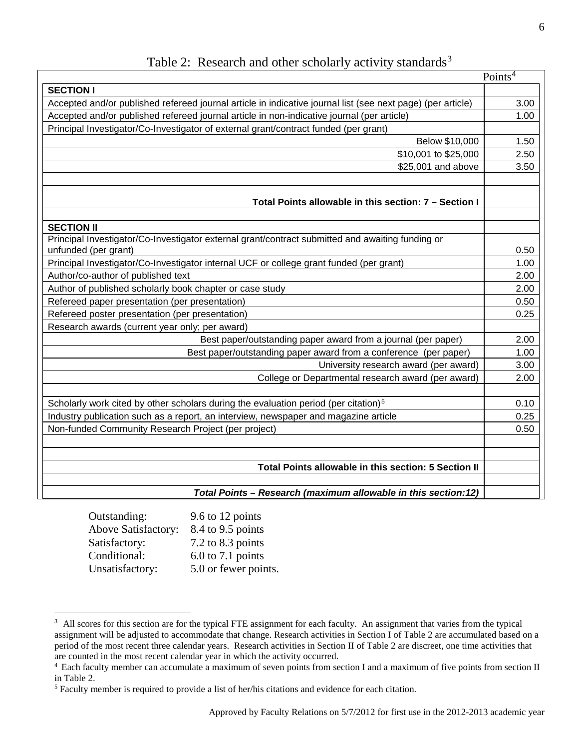|                                                                                                             | Points $\overline{4}$ |
|-------------------------------------------------------------------------------------------------------------|-----------------------|
| <b>SECTION I</b>                                                                                            |                       |
| Accepted and/or published refereed journal article in indicative journal list (see next page) (per article) | 3.00                  |
| Accepted and/or published refereed journal article in non-indicative journal (per article)                  | 1.00                  |
| Principal Investigator/Co-Investigator of external grant/contract funded (per grant)                        |                       |
| Below \$10,000                                                                                              | 1.50                  |
| \$10,001 to \$25,000                                                                                        | 2.50                  |
| \$25,001 and above                                                                                          | 3.50                  |
|                                                                                                             |                       |
| Total Points allowable in this section: 7 – Section I                                                       |                       |
| <b>SECTION II</b>                                                                                           |                       |
| Principal Investigator/Co-Investigator external grant/contract submitted and awaiting funding or            |                       |
| unfunded (per grant)                                                                                        | 0.50                  |
| Principal Investigator/Co-Investigator internal UCF or college grant funded (per grant)                     | 1.00                  |
| Author/co-author of published text                                                                          | 2.00                  |
| Author of published scholarly book chapter or case study                                                    | 2.00                  |
| Refereed paper presentation (per presentation)                                                              | 0.50                  |
| Refereed poster presentation (per presentation)                                                             | 0.25                  |
| Research awards (current year only; per award)                                                              |                       |
| Best paper/outstanding paper award from a journal (per paper)                                               | 2.00                  |
| Best paper/outstanding paper award from a conference (per paper)                                            | 1.00                  |
| University research award (per award)                                                                       | 3.00                  |
| College or Departmental research award (per award)                                                          | 2.00                  |
| Scholarly work cited by other scholars during the evaluation period (per citation) <sup>5</sup>             | 0.10                  |
| Industry publication such as a report, an interview, newspaper and magazine article                         | 0.25                  |
| Non-funded Community Research Project (per project)                                                         | 0.50                  |
|                                                                                                             |                       |
| Total Points allowable in this section: 5 Section II                                                        |                       |
| Total Points - Research (maximum allowable in this section:12)                                              |                       |

| 9.6 to 12 points      |
|-----------------------|
| 8.4 to 9.5 points     |
| $7.2$ to $8.3$ points |
| $6.0$ to 7.1 points   |
| 5.0 or fewer points.  |
|                       |

<span id="page-5-0"></span><sup>&</sup>lt;sup>3</sup> All scores for this section are for the typical FTE assignment for each faculty. An assignment that varies from the typical assignment will be adjusted to accommodate that change. Research activities in Section I of Table 2 are accumulated based on a period of the most recent three calendar years. Research activities in Section II of Table 2 are discreet, one time activities that are counted in the most recent calendar year in which the activity occurred.

<span id="page-5-1"></span><sup>&</sup>lt;sup>4</sup> Each faculty member can accumulate a maximum of seven points from section I and a maximum of five points from section II in Table 2.

<span id="page-5-2"></span><sup>5</sup> Faculty member is required to provide a list of her/his citations and evidence for each citation.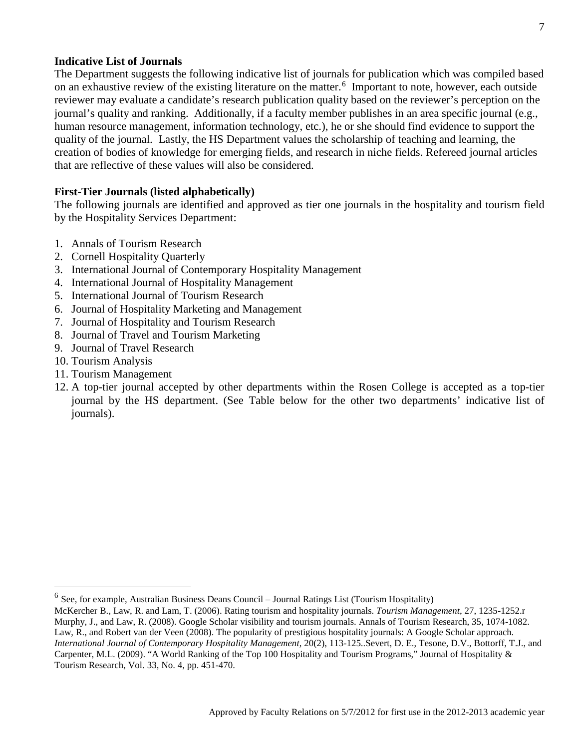#### **Indicative List of Journals**

The Department suggests the following indicative list of journals for publication which was compiled based on an exhaustive review of the existing literature on the matter.<sup>[6](#page-6-0)</sup> Important to note, however, each outside reviewer may evaluate a candidate's research publication quality based on the reviewer's perception on the journal's quality and ranking. Additionally, if a faculty member publishes in an area specific journal (e.g., human resource management, information technology, etc.), he or she should find evidence to support the quality of the journal. Lastly, the HS Department values the scholarship of teaching and learning, the creation of bodies of knowledge for emerging fields, and research in niche fields. Refereed journal articles that are reflective of these values will also be considered.

#### **First-Tier Journals (listed alphabetically)**

The following journals are identified and approved as tier one journals in the hospitality and tourism field by the Hospitality Services Department:

- 1. Annals of Tourism Research
- 2. Cornell Hospitality Quarterly
- 3. International Journal of Contemporary Hospitality Management
- 4. International Journal of Hospitality Management
- 5. International Journal of Tourism Research
- 6. Journal of Hospitality Marketing and Management
- 7. Journal of Hospitality and Tourism Research
- 8. Journal of Travel and Tourism Marketing
- 9. Journal of Travel Research
- 10. Tourism Analysis
- 11. Tourism Management
- 12. A top-tier journal accepted by other departments within the Rosen College is accepted as a top-tier journal by the HS department. (See Table below for the other two departments' indicative list of journals).

<span id="page-6-0"></span> $6$  See, for example, Australian Business Deans Council – Journal Ratings List (Tourism Hospitality)

McKercher B., Law, R. and Lam, T. (2006). Rating tourism and hospitality journals. *Tourism Management*, 27, 1235-1252.r Murphy, J., and Law, R. (2008). Google Scholar visibility and tourism journals. Annals of Tourism Research, 35, 1074-1082. Law, R., and Robert van der Veen (2008). The popularity of prestigious hospitality journals: A Google Scholar approach. *International Journal of Contemporary Hospitality Management*, 20(2), 113-125..Severt, D. E., Tesone, D.V., Bottorff, T.J., and Carpenter, M.L. (2009). "A World Ranking of the Top 100 Hospitality and Tourism Programs," Journal of Hospitality & Tourism Research, Vol. 33, No. 4, pp. 451-470.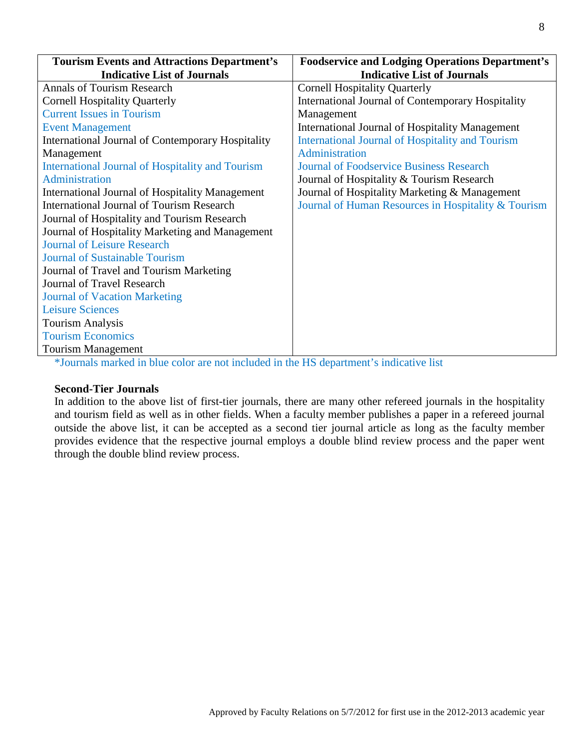| <b>Tourism Events and Attractions Department's</b>       | <b>Foodservice and Lodging Operations Department's</b>   |
|----------------------------------------------------------|----------------------------------------------------------|
| <b>Indicative List of Journals</b>                       | <b>Indicative List of Journals</b>                       |
| <b>Annals of Tourism Research</b>                        | <b>Cornell Hospitality Quarterly</b>                     |
| <b>Cornell Hospitality Quarterly</b>                     | <b>International Journal of Contemporary Hospitality</b> |
| <b>Current Issues in Tourism</b>                         | Management                                               |
| <b>Event Management</b>                                  | <b>International Journal of Hospitality Management</b>   |
| <b>International Journal of Contemporary Hospitality</b> | <b>International Journal of Hospitality and Tourism</b>  |
| Management                                               | Administration                                           |
| <b>International Journal of Hospitality and Tourism</b>  | <b>Journal of Foodservice Business Research</b>          |
| Administration                                           | Journal of Hospitality & Tourism Research                |
| <b>International Journal of Hospitality Management</b>   | Journal of Hospitality Marketing & Management            |
| <b>International Journal of Tourism Research</b>         | Journal of Human Resources in Hospitality & Tourism      |
| Journal of Hospitality and Tourism Research              |                                                          |
| Journal of Hospitality Marketing and Management          |                                                          |
| <b>Journal of Leisure Research</b>                       |                                                          |
| <b>Journal of Sustainable Tourism</b>                    |                                                          |
| Journal of Travel and Tourism Marketing                  |                                                          |
| Journal of Travel Research                               |                                                          |
| <b>Journal of Vacation Marketing</b>                     |                                                          |
| <b>Leisure Sciences</b>                                  |                                                          |
| <b>Tourism Analysis</b>                                  |                                                          |
| <b>Tourism Economics</b>                                 |                                                          |
| <b>Tourism Management</b>                                |                                                          |

\*Journals marked in blue color are not included in the HS department's indicative list

#### **Second-Tier Journals**

In addition to the above list of first-tier journals, there are many other refereed journals in the hospitality and tourism field as well as in other fields. When a faculty member publishes a paper in a refereed journal outside the above list, it can be accepted as a second tier journal article as long as the faculty member provides evidence that the respective journal employs a double blind review process and the paper went through the double blind review process.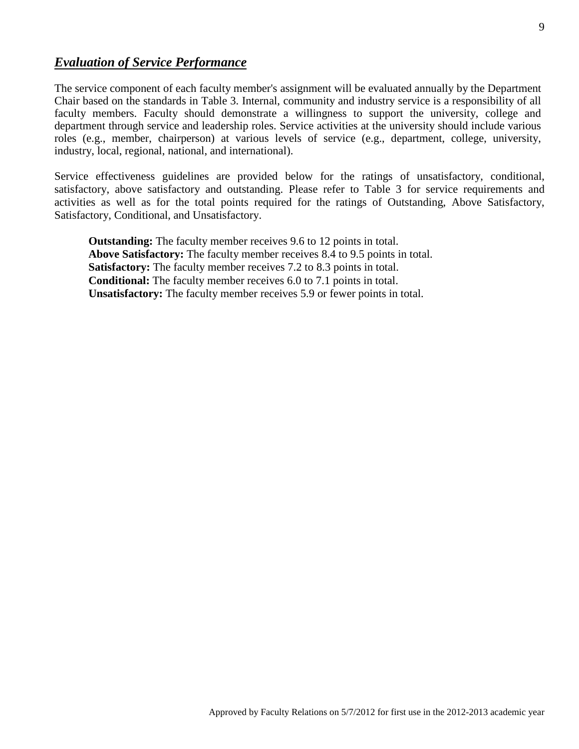### *Evaluation of Service Performance*

The service component of each faculty member's assignment will be evaluated annually by the Department Chair based on the standards in Table 3. Internal, community and industry service is a responsibility of all faculty members. Faculty should demonstrate a willingness to support the university, college and department through service and leadership roles. Service activities at the university should include various roles (e.g., member, chairperson) at various levels of service (e.g., department, college, university, industry, local, regional, national, and international).

Service effectiveness guidelines are provided below for the ratings of unsatisfactory, conditional, satisfactory, above satisfactory and outstanding. Please refer to Table 3 for service requirements and activities as well as for the total points required for the ratings of Outstanding, Above Satisfactory, Satisfactory, Conditional, and Unsatisfactory.

**Outstanding:** The faculty member receives 9.6 to 12 points in total. **Above Satisfactory:** The faculty member receives 8.4 to 9.5 points in total. **Satisfactory:** The faculty member receives 7.2 to 8.3 points in total. **Conditional:** The faculty member receives 6.0 to 7.1 points in total. **Unsatisfactory:** The faculty member receives 5.9 or fewer points in total.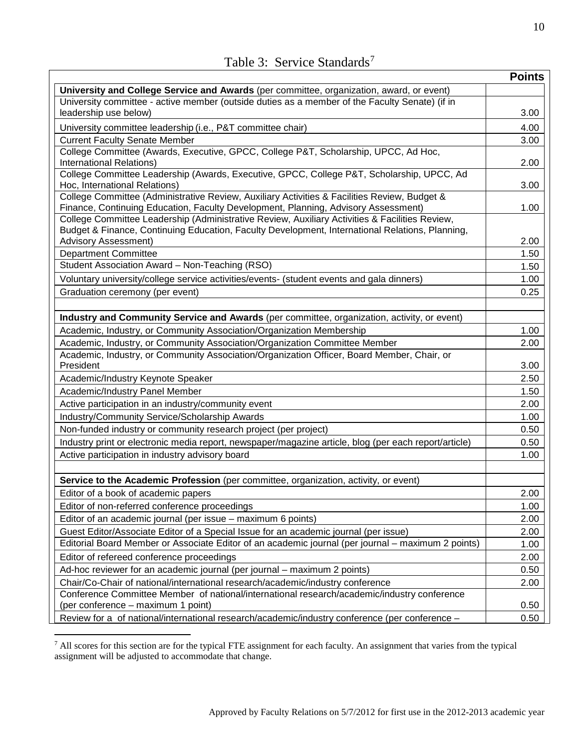|  |  | Table 3: Service Standards <sup>7</sup> |
|--|--|-----------------------------------------|
|--|--|-----------------------------------------|

|                                                                                                                                                                                    | <b>Points</b> |
|------------------------------------------------------------------------------------------------------------------------------------------------------------------------------------|---------------|
| University and College Service and Awards (per committee, organization, award, or event)                                                                                           |               |
| University committee - active member (outside duties as a member of the Faculty Senate) (if in                                                                                     |               |
| leadership use below)                                                                                                                                                              | 3.00          |
| University committee leadership (i.e., P&T committee chair)                                                                                                                        | 4.00          |
| <b>Current Faculty Senate Member</b>                                                                                                                                               | 3.00          |
| College Committee (Awards, Executive, GPCC, College P&T, Scholarship, UPCC, Ad Hoc,                                                                                                |               |
| International Relations)                                                                                                                                                           | 2.00          |
| College Committee Leadership (Awards, Executive, GPCC, College P&T, Scholarship, UPCC, Ad                                                                                          |               |
| Hoc, International Relations)                                                                                                                                                      | 3.00          |
| College Committee (Administrative Review, Auxiliary Activities & Facilities Review, Budget &<br>Finance, Continuing Education, Faculty Development, Planning, Advisory Assessment) | 1.00          |
| College Committee Leadership (Administrative Review, Auxiliary Activities & Facilities Review,                                                                                     |               |
| Budget & Finance, Continuing Education, Faculty Development, International Relations, Planning,                                                                                    |               |
| <b>Advisory Assessment)</b>                                                                                                                                                        | 2.00          |
| <b>Department Committee</b>                                                                                                                                                        | 1.50          |
| Student Association Award - Non-Teaching (RSO)                                                                                                                                     | 1.50          |
| Voluntary university/college service activities/events- (student events and gala dinners)                                                                                          | 1.00          |
| Graduation ceremony (per event)                                                                                                                                                    | 0.25          |
|                                                                                                                                                                                    |               |
| Industry and Community Service and Awards (per committee, organization, activity, or event)                                                                                        |               |
| Academic, Industry, or Community Association/Organization Membership                                                                                                               | 1.00          |
| Academic, Industry, or Community Association/Organization Committee Member                                                                                                         | 2.00          |
| Academic, Industry, or Community Association/Organization Officer, Board Member, Chair, or                                                                                         |               |
| President                                                                                                                                                                          | 3.00          |
| Academic/Industry Keynote Speaker                                                                                                                                                  | 2.50          |
| Academic/Industry Panel Member                                                                                                                                                     | 1.50          |
| Active participation in an industry/community event                                                                                                                                | 2.00          |
| Industry/Community Service/Scholarship Awards                                                                                                                                      | 1.00          |
| Non-funded industry or community research project (per project)                                                                                                                    | 0.50          |
| Industry print or electronic media report, newspaper/magazine article, blog (per each report/article)                                                                              | 0.50          |
| Active participation in industry advisory board                                                                                                                                    | 1.00          |
|                                                                                                                                                                                    |               |
| Service to the Academic Profession (per committee, organization, activity, or event)                                                                                               |               |
| Editor of a book of academic papers                                                                                                                                                | 2.00          |
| Editor of non-referred conference proceedings                                                                                                                                      | 1.00          |
| Editor of an academic journal (per issue - maximum 6 points)                                                                                                                       | 2.00          |
| Guest Editor/Associate Editor of a Special Issue for an academic journal (per issue)                                                                                               | 2.00          |
| Editorial Board Member or Associate Editor of an academic journal (per journal – maximum 2 points)                                                                                 | 1.00          |
| Editor of refereed conference proceedings                                                                                                                                          | 2.00          |
| Ad-hoc reviewer for an academic journal (per journal - maximum 2 points)                                                                                                           | 0.50          |
| Chair/Co-Chair of national/international research/academic/industry conference                                                                                                     | 2.00          |
| Conference Committee Member of national/international research/academic/industry conference                                                                                        |               |
| (per conference – maximum 1 point)                                                                                                                                                 | 0.50          |
| Review for a of national/international research/academic/industry conference (per conference -                                                                                     | 0.50          |

<span id="page-9-0"></span><sup>&</sup>lt;sup>7</sup> All scores for this section are for the typical FTE assignment for each faculty. An assignment that varies from the typical assignment will be adjusted to accommodate that change.